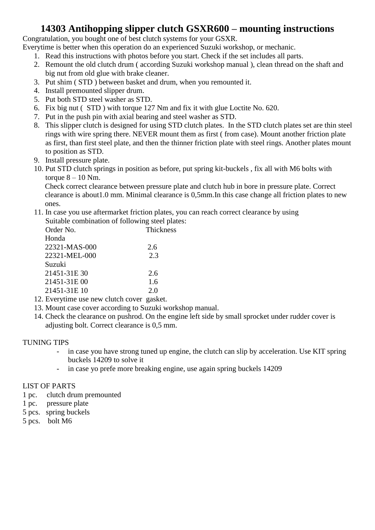## **14303 Antihopping slipper clutch GSXR600 – mounting instructions**

Congratulation, you bought one of best clutch systems for your GSXR.

Everytime is better when this operation do an experienced Suzuki workshop, or mechanic.

- 1. Read this instructions with photos before you start. Check if the set includes all parts.
- 2. Remount the old clutch drum ( according Suzuki workshop manual ), clean thread on the shaft and big nut from old glue with brake cleaner.
- 3. Put shim ( STD ) between basket and drum, when you remounted it.
- 4. Install premounted slipper drum.
- 5. Put both STD steel washer as STD.
- 6. Fix big nut ( STD ) with torque 127 Nm and fix it with glue Loctite No. 620.
- 7. Put in the push pin with axial bearing and steel washer as STD.
- 8. This slipper clutch is designed for using STD clutch plates. In the STD clutch plates set are thin steel rings with wire spring there. NEVER mount them as first ( from case). Mount another friction plate as first, than first steel plate, and then the thinner friction plate with steel rings. Another plates mount to position as STD.
- 9. Install pressure plate.
- 10. Put STD clutch springs in position as before, put spring kit-buckels , fix all with M6 bolts with torque  $8 - 10$  Nm.

Check correct clearance between pressure plate and clutch hub in bore in pressure plate. Correct clearance is about1.0 mm. Minimal clearance is 0,5mm.In this case change all friction plates to new ones.

11. In case you use aftermarket friction plates, you can reach correct clearance by using Suitable combination of following steel plates:

| Order No.     | Thickness |
|---------------|-----------|
| Honda         |           |
| 22321-MAS-000 | 2.6       |
| 22321-MEL-000 | 2.3       |
| Suzuki        |           |
| 21451-31E 30  | 2.6       |
| 21451-31E00   | 1.6       |
| 21451-31E 10  | 2.0       |
|               |           |

- 12. Everytime use new clutch cover gasket.
- 13. Mount case cover according to Suzuki workshop manual.
- 14. Check the clearance on pushrod. On the engine left side by small sprocket under rudder cover is adjusting bolt. Correct clearance is 0,5 mm.

#### TUNING TIPS

- in case you have strong tuned up engine, the clutch can slip by acceleration. Use KIT spring buckels 14209 to solve it
- in case yo prefe more breaking engine, use again spring buckels 14209

#### LIST OF PARTS

- 1 pc. clutch drum premounted
- 1 pc. pressure plate
- 5 pcs. spring buckels
- 5 pcs. bolt M6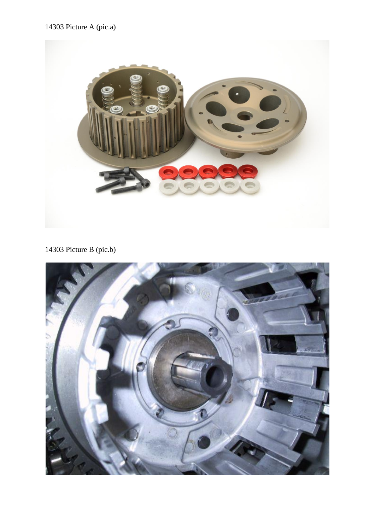### 14303 Picture A (pic.a)



14303 Picture B (pic.b)

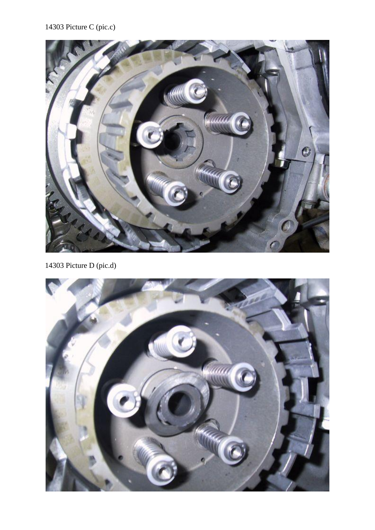### 14303 Picture C (pic.c)



14303 Picture D (pic.d)

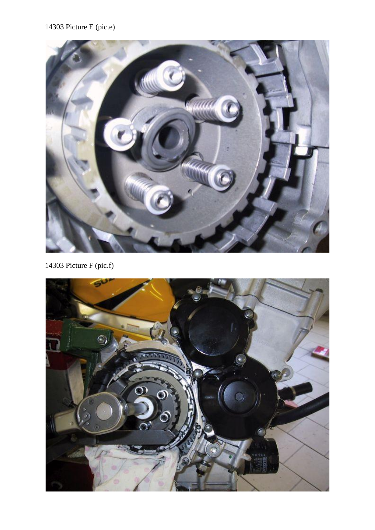### 14303 Picture E (pic.e)



14303 Picture F (pic.f)

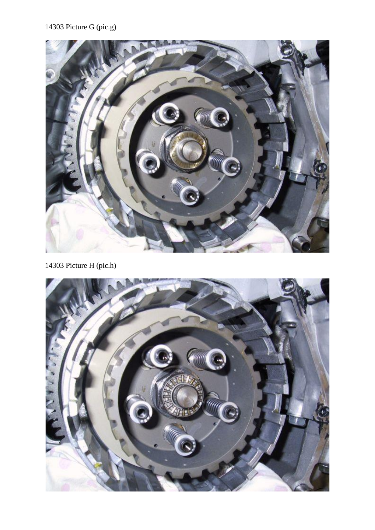## 14303 Picture G (pic.g)



14303 Picture H (pic.h)

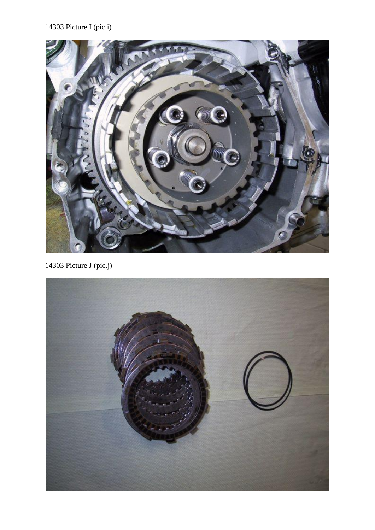## 14303 Picture I (pic.i)



14303 Picture J (pic.j)